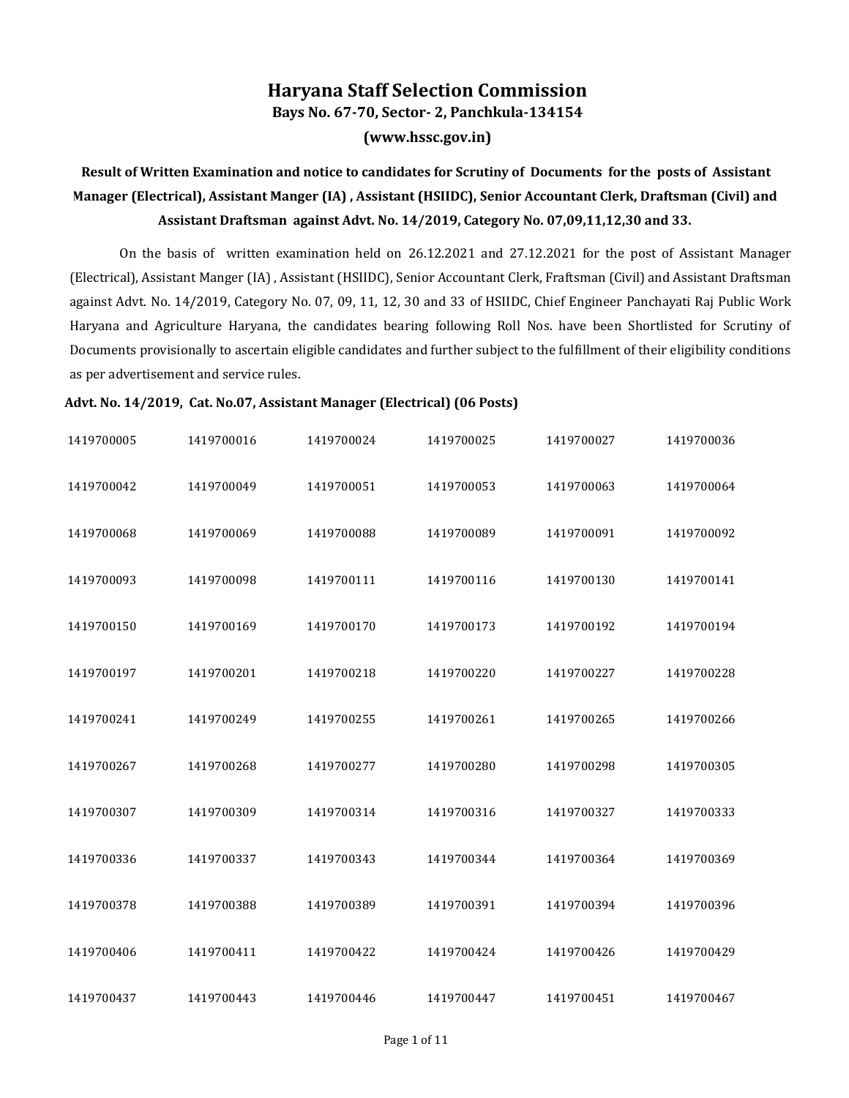## **Haryana Staff Selection Commission**

**Bays No. 67-70, Sector- 2, Panchkula-134154**

**(www.hssc.gov.in)**

## **Result of Written Examination and notice to candidates for Scrutiny of Documents for the posts of Assistant Manager (Electrical), Assistant Manger (IA) , Assistant (HSIIDC), Senior Accountant Clerk, Draftsman (Civil) and Assistant Draftsman against Advt. No. 14/2019, Category No. 07,09,11,12,30 and 33.**

On the basis of written examination held on 26.12.2021 and 27.12.2021 for the post of Assistant Manager (Electrical), Assistant Manger (IA) , Assistant (HSIIDC), Senior Accountant Clerk, Fraftsman (Civil) and Assistant Draftsman against Advt. No. 14/2019, Category No. 07, 09, 11, 12, 30 and 33 of HSIIDC, Chief Engineer Panchayati Raj Public Work Haryana and Agriculture Haryana, the candidates bearing following Roll Nos. have been Shortlisted for Scrutiny of Documents provisionally to ascertain eligible candidates and further subject to the fulfillment of their eligibility conditions as per advertisement and service rules.

## **Advt. No. 14/2019, Cat. No.07, Assistant Manager (Electrical) (06 Posts)**

| 1419700005 | 1419700016 | 1419700024 | 1419700025 | 1419700027 | 1419700036 |
|------------|------------|------------|------------|------------|------------|
| 1419700042 | 1419700049 | 1419700051 | 1419700053 | 1419700063 | 1419700064 |
| 1419700068 | 1419700069 | 1419700088 | 1419700089 | 1419700091 | 1419700092 |
| 1419700093 | 1419700098 | 1419700111 | 1419700116 | 1419700130 | 1419700141 |
| 1419700150 | 1419700169 | 1419700170 | 1419700173 | 1419700192 | 1419700194 |
| 1419700197 | 1419700201 | 1419700218 | 1419700220 | 1419700227 | 1419700228 |
| 1419700241 | 1419700249 | 1419700255 | 1419700261 | 1419700265 | 1419700266 |
| 1419700267 | 1419700268 | 1419700277 | 1419700280 | 1419700298 | 1419700305 |
| 1419700307 | 1419700309 | 1419700314 | 1419700316 | 1419700327 | 1419700333 |
| 1419700336 | 1419700337 | 1419700343 | 1419700344 | 1419700364 | 1419700369 |
| 1419700378 | 1419700388 | 1419700389 | 1419700391 | 1419700394 | 1419700396 |
| 1419700406 | 1419700411 | 1419700422 | 1419700424 | 1419700426 | 1419700429 |
| 1419700437 | 1419700443 | 1419700446 | 1419700447 | 1419700451 | 1419700467 |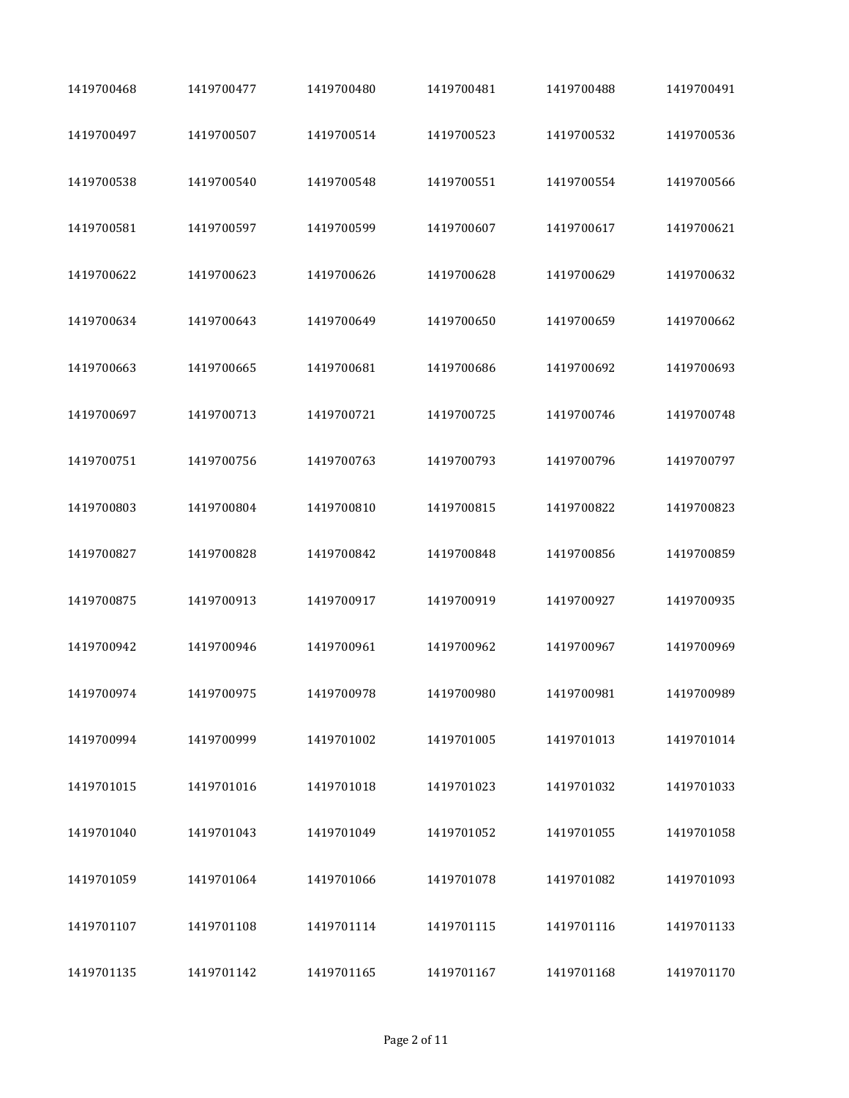| 1419700468 | 1419700477 | 1419700480 | 1419700481 | 1419700488 | 1419700491 |
|------------|------------|------------|------------|------------|------------|
| 1419700497 | 1419700507 | 1419700514 | 1419700523 | 1419700532 | 1419700536 |
| 1419700538 | 1419700540 | 1419700548 | 1419700551 | 1419700554 | 1419700566 |
| 1419700581 | 1419700597 | 1419700599 | 1419700607 | 1419700617 | 1419700621 |
| 1419700622 | 1419700623 | 1419700626 | 1419700628 | 1419700629 | 1419700632 |
| 1419700634 | 1419700643 | 1419700649 | 1419700650 | 1419700659 | 1419700662 |
| 1419700663 | 1419700665 | 1419700681 | 1419700686 | 1419700692 | 1419700693 |
| 1419700697 | 1419700713 | 1419700721 | 1419700725 | 1419700746 | 1419700748 |
| 1419700751 | 1419700756 | 1419700763 | 1419700793 | 1419700796 | 1419700797 |
| 1419700803 | 1419700804 | 1419700810 | 1419700815 | 1419700822 | 1419700823 |
| 1419700827 | 1419700828 | 1419700842 | 1419700848 | 1419700856 | 1419700859 |
| 1419700875 | 1419700913 | 1419700917 | 1419700919 | 1419700927 | 1419700935 |
| 1419700942 | 1419700946 | 1419700961 | 1419700962 | 1419700967 | 1419700969 |
| 1419700974 | 1419700975 | 1419700978 | 1419700980 | 1419700981 | 1419700989 |
| 1419700994 | 1419700999 | 1419701002 | 1419701005 | 1419701013 | 1419701014 |
| 1419701015 | 1419701016 | 1419701018 | 1419701023 | 1419701032 | 1419701033 |
| 1419701040 | 1419701043 | 1419701049 | 1419701052 | 1419701055 | 1419701058 |
| 1419701059 | 1419701064 | 1419701066 | 1419701078 | 1419701082 | 1419701093 |
| 1419701107 | 1419701108 | 1419701114 | 1419701115 | 1419701116 | 1419701133 |
| 1419701135 | 1419701142 | 1419701165 | 1419701167 | 1419701168 | 1419701170 |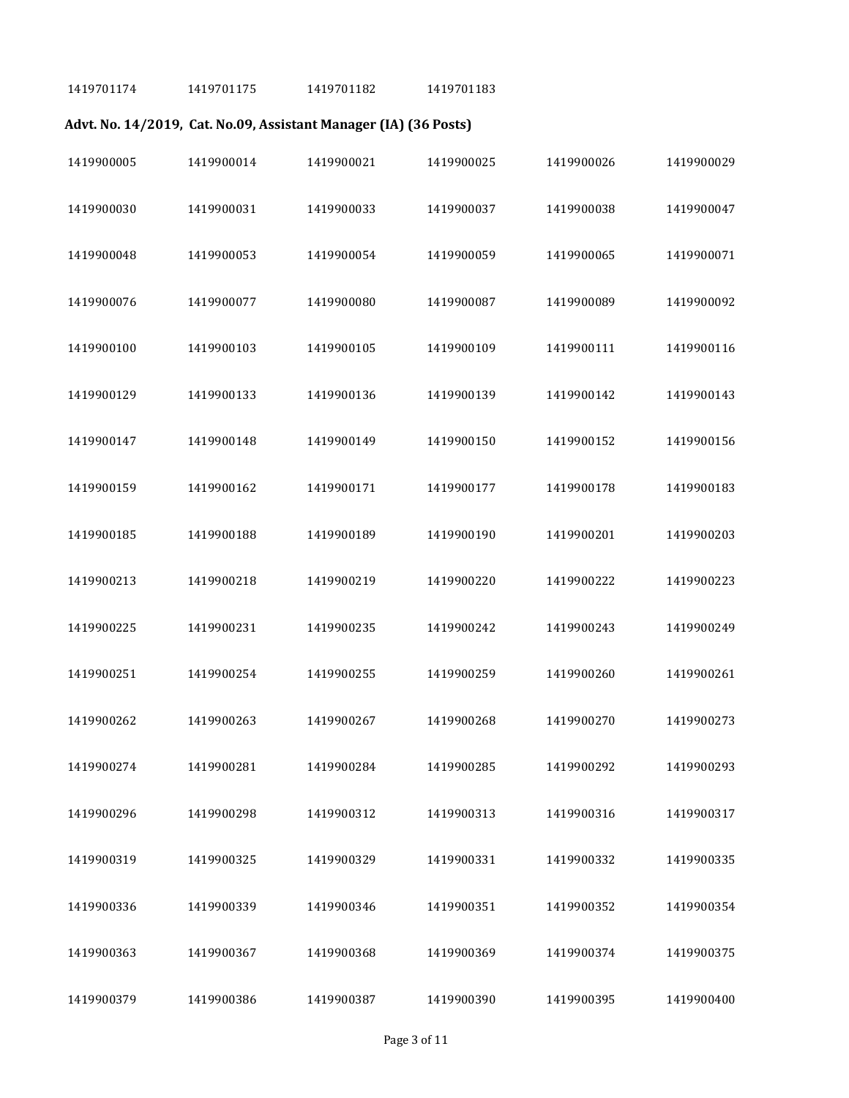1419701174 1419701175 1419701182 1419701183

## **Advt. No. 14/2019, Cat. No.09, Assistant Manager (IA) (36 Posts)**

| 1419900005 | 1419900014 | 1419900021 | 1419900025 | 1419900026 | 1419900029 |
|------------|------------|------------|------------|------------|------------|
| 1419900030 | 1419900031 | 1419900033 | 1419900037 | 1419900038 | 1419900047 |
| 1419900048 | 1419900053 | 1419900054 | 1419900059 | 1419900065 | 1419900071 |
| 1419900076 | 1419900077 | 1419900080 | 1419900087 | 1419900089 | 1419900092 |
| 1419900100 | 1419900103 | 1419900105 | 1419900109 | 1419900111 | 1419900116 |
| 1419900129 | 1419900133 | 1419900136 | 1419900139 | 1419900142 | 1419900143 |
| 1419900147 | 1419900148 | 1419900149 | 1419900150 | 1419900152 | 1419900156 |
| 1419900159 | 1419900162 | 1419900171 | 1419900177 | 1419900178 | 1419900183 |
| 1419900185 | 1419900188 | 1419900189 | 1419900190 | 1419900201 | 1419900203 |
| 1419900213 | 1419900218 | 1419900219 | 1419900220 | 1419900222 | 1419900223 |
| 1419900225 | 1419900231 | 1419900235 | 1419900242 | 1419900243 | 1419900249 |
| 1419900251 | 1419900254 | 1419900255 | 1419900259 | 1419900260 | 1419900261 |
| 1419900262 | 1419900263 | 1419900267 | 1419900268 | 1419900270 | 1419900273 |
| 1419900274 | 1419900281 | 1419900284 | 1419900285 | 1419900292 | 1419900293 |
| 1419900296 | 1419900298 | 1419900312 | 1419900313 | 1419900316 | 1419900317 |
| 1419900319 | 1419900325 | 1419900329 | 1419900331 | 1419900332 | 1419900335 |
| 1419900336 | 1419900339 | 1419900346 | 1419900351 | 1419900352 | 1419900354 |
| 1419900363 | 1419900367 | 1419900368 | 1419900369 | 1419900374 | 1419900375 |
| 1419900379 | 1419900386 | 1419900387 | 1419900390 | 1419900395 | 1419900400 |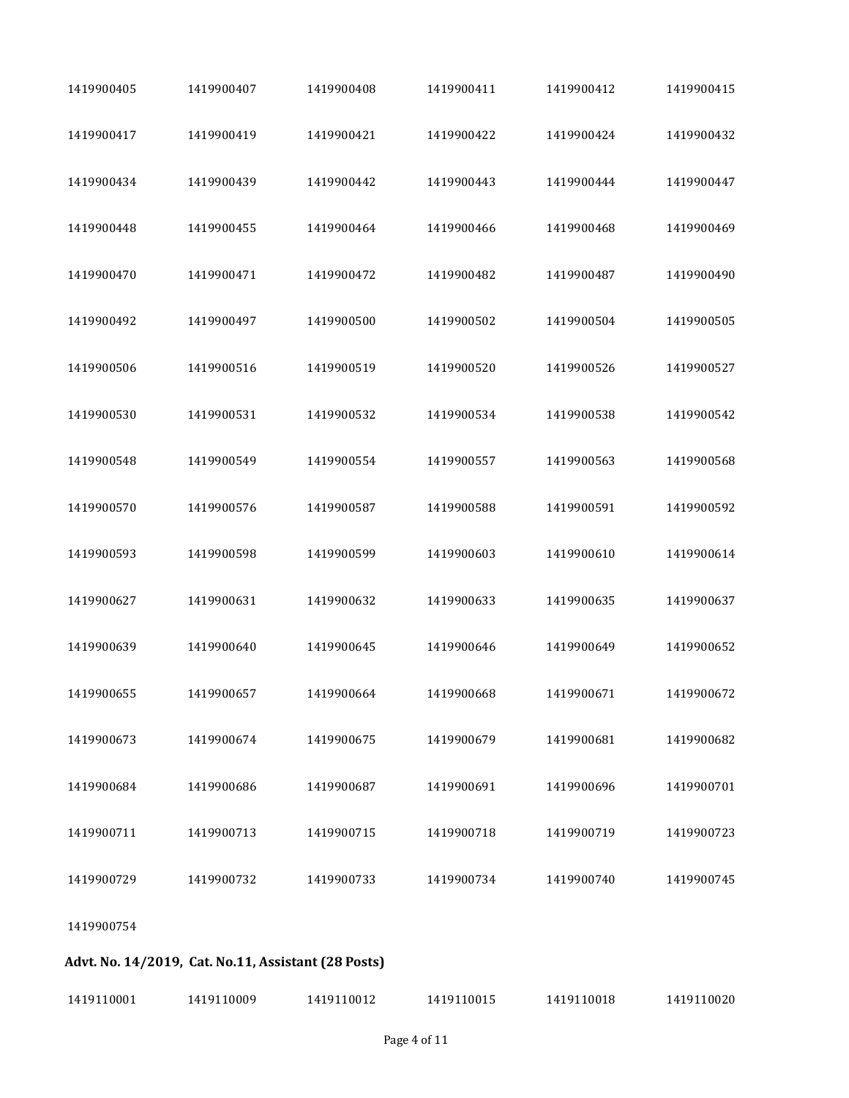| 1419900405 | 1419900407                                          | 1419900408 | 1419900411 | 1419900412 | 1419900415 |
|------------|-----------------------------------------------------|------------|------------|------------|------------|
| 1419900417 | 1419900419                                          | 1419900421 | 1419900422 | 1419900424 | 1419900432 |
| 1419900434 | 1419900439                                          | 1419900442 | 1419900443 | 1419900444 | 1419900447 |
| 1419900448 | 1419900455                                          | 1419900464 | 1419900466 | 1419900468 | 1419900469 |
| 1419900470 | 1419900471                                          | 1419900472 | 1419900482 | 1419900487 | 1419900490 |
| 1419900492 | 1419900497                                          | 1419900500 | 1419900502 | 1419900504 | 1419900505 |
| 1419900506 | 1419900516                                          | 1419900519 | 1419900520 | 1419900526 | 1419900527 |
| 1419900530 | 1419900531                                          | 1419900532 | 1419900534 | 1419900538 | 1419900542 |
| 1419900548 | 1419900549                                          | 1419900554 | 1419900557 | 1419900563 | 1419900568 |
| 1419900570 | 1419900576                                          | 1419900587 | 1419900588 | 1419900591 | 1419900592 |
| 1419900593 | 1419900598                                          | 1419900599 | 1419900603 | 1419900610 | 1419900614 |
| 1419900627 | 1419900631                                          | 1419900632 | 1419900633 | 1419900635 | 1419900637 |
| 1419900639 | 1419900640                                          | 1419900645 | 1419900646 | 1419900649 | 1419900652 |
| 1419900655 | 1419900657                                          | 1419900664 | 1419900668 | 1419900671 | 1419900672 |
| 1419900673 | 1419900674                                          | 1419900675 | 1419900679 | 1419900681 | 1419900682 |
| 1419900684 | 1419900686                                          | 1419900687 | 1419900691 | 1419900696 | 1419900701 |
| 1419900711 | 1419900713                                          | 1419900715 | 1419900718 | 1419900719 | 1419900723 |
| 1419900729 | 1419900732                                          | 1419900733 | 1419900734 | 1419900740 | 1419900745 |
| 1419900754 |                                                     |            |            |            |            |
|            | Advt. No. 14/2019, Cat. No.11, Assistant (28 Posts) |            |            |            |            |

| 1419110001 | 1419110009 | 1419110012 | 1419110015 | 1419110018 | 1419110020 |
|------------|------------|------------|------------|------------|------------|
|            |            |            |            |            |            |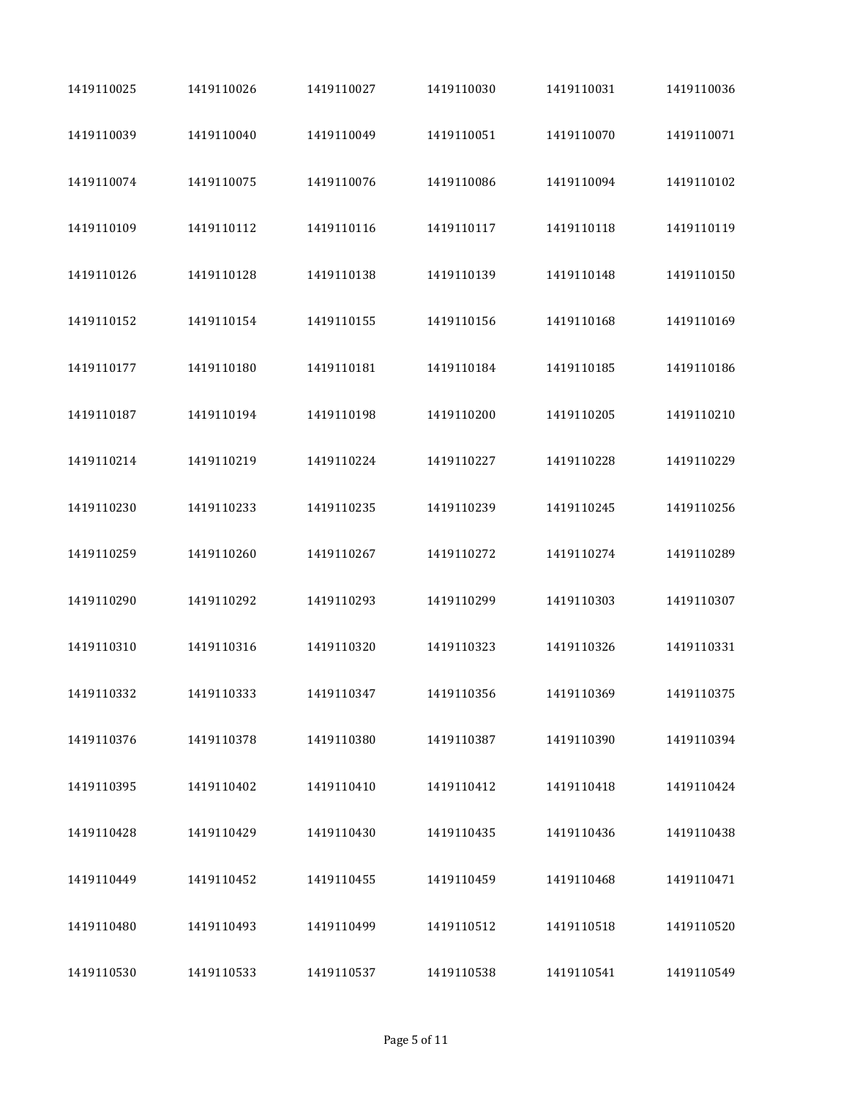| 1419110025 | 1419110026 | 1419110027 | 1419110030 | 1419110031 | 1419110036 |
|------------|------------|------------|------------|------------|------------|
| 1419110039 | 1419110040 | 1419110049 | 1419110051 | 1419110070 | 1419110071 |
| 1419110074 | 1419110075 | 1419110076 | 1419110086 | 1419110094 | 1419110102 |
| 1419110109 | 1419110112 | 1419110116 | 1419110117 | 1419110118 | 1419110119 |
| 1419110126 | 1419110128 | 1419110138 | 1419110139 | 1419110148 | 1419110150 |
| 1419110152 | 1419110154 | 1419110155 | 1419110156 | 1419110168 | 1419110169 |
| 1419110177 | 1419110180 | 1419110181 | 1419110184 | 1419110185 | 1419110186 |
| 1419110187 | 1419110194 | 1419110198 | 1419110200 | 1419110205 | 1419110210 |
| 1419110214 | 1419110219 | 1419110224 | 1419110227 | 1419110228 | 1419110229 |
| 1419110230 | 1419110233 | 1419110235 | 1419110239 | 1419110245 | 1419110256 |
| 1419110259 | 1419110260 | 1419110267 | 1419110272 | 1419110274 | 1419110289 |
| 1419110290 | 1419110292 | 1419110293 | 1419110299 | 1419110303 | 1419110307 |
| 1419110310 | 1419110316 | 1419110320 | 1419110323 | 1419110326 | 1419110331 |
| 1419110332 | 1419110333 | 1419110347 | 1419110356 | 1419110369 | 1419110375 |
| 1419110376 | 1419110378 | 1419110380 | 1419110387 | 1419110390 | 1419110394 |
| 1419110395 | 1419110402 | 1419110410 | 1419110412 | 1419110418 | 1419110424 |
| 1419110428 | 1419110429 | 1419110430 | 1419110435 | 1419110436 | 1419110438 |
| 1419110449 | 1419110452 | 1419110455 | 1419110459 | 1419110468 | 1419110471 |
| 1419110480 | 1419110493 | 1419110499 | 1419110512 | 1419110518 | 1419110520 |
| 1419110530 | 1419110533 | 1419110537 | 1419110538 | 1419110541 | 1419110549 |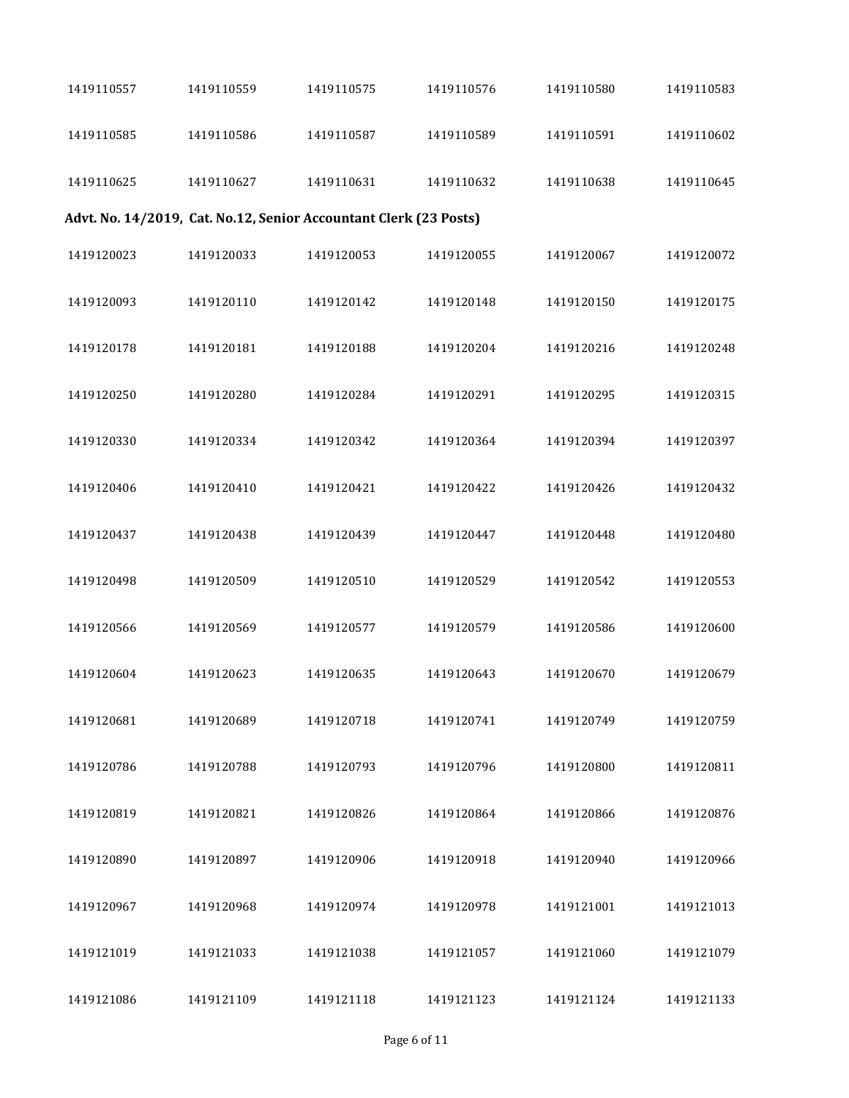| 1419110557 | 1419110559 | 1419110575                                                        | 1419110576 | 1419110580 | 1419110583 |
|------------|------------|-------------------------------------------------------------------|------------|------------|------------|
| 1419110585 | 1419110586 | 1419110587                                                        | 1419110589 | 1419110591 | 1419110602 |
| 1419110625 | 1419110627 | 1419110631                                                        | 1419110632 | 1419110638 | 1419110645 |
|            |            | Advt. No. 14/2019, Cat. No.12, Senior Accountant Clerk (23 Posts) |            |            |            |
| 1419120023 | 1419120033 | 1419120053                                                        | 1419120055 | 1419120067 | 1419120072 |
| 1419120093 | 1419120110 | 1419120142                                                        | 1419120148 | 1419120150 | 1419120175 |
| 1419120178 | 1419120181 | 1419120188                                                        | 1419120204 | 1419120216 | 1419120248 |
| 1419120250 | 1419120280 | 1419120284                                                        | 1419120291 | 1419120295 | 1419120315 |
| 1419120330 | 1419120334 | 1419120342                                                        | 1419120364 | 1419120394 | 1419120397 |
| 1419120406 | 1419120410 | 1419120421                                                        | 1419120422 | 1419120426 | 1419120432 |
| 1419120437 | 1419120438 | 1419120439                                                        | 1419120447 | 1419120448 | 1419120480 |
| 1419120498 | 1419120509 | 1419120510                                                        | 1419120529 | 1419120542 | 1419120553 |
| 1419120566 | 1419120569 | 1419120577                                                        | 1419120579 | 1419120586 | 1419120600 |
| 1419120604 | 1419120623 | 1419120635                                                        | 1419120643 | 1419120670 | 1419120679 |
| 1419120681 | 1419120689 | 1419120718                                                        | 1419120741 | 1419120749 | 1419120759 |
| 1419120786 | 1419120788 | 1419120793                                                        | 1419120796 | 1419120800 | 1419120811 |
| 1419120819 | 1419120821 | 1419120826                                                        | 1419120864 | 1419120866 | 1419120876 |
| 1419120890 | 1419120897 | 1419120906                                                        | 1419120918 | 1419120940 | 1419120966 |
| 1419120967 | 1419120968 | 1419120974                                                        | 1419120978 | 1419121001 | 1419121013 |
| 1419121019 | 1419121033 | 1419121038                                                        | 1419121057 | 1419121060 | 1419121079 |
| 1419121086 | 1419121109 | 1419121118                                                        | 1419121123 | 1419121124 | 1419121133 |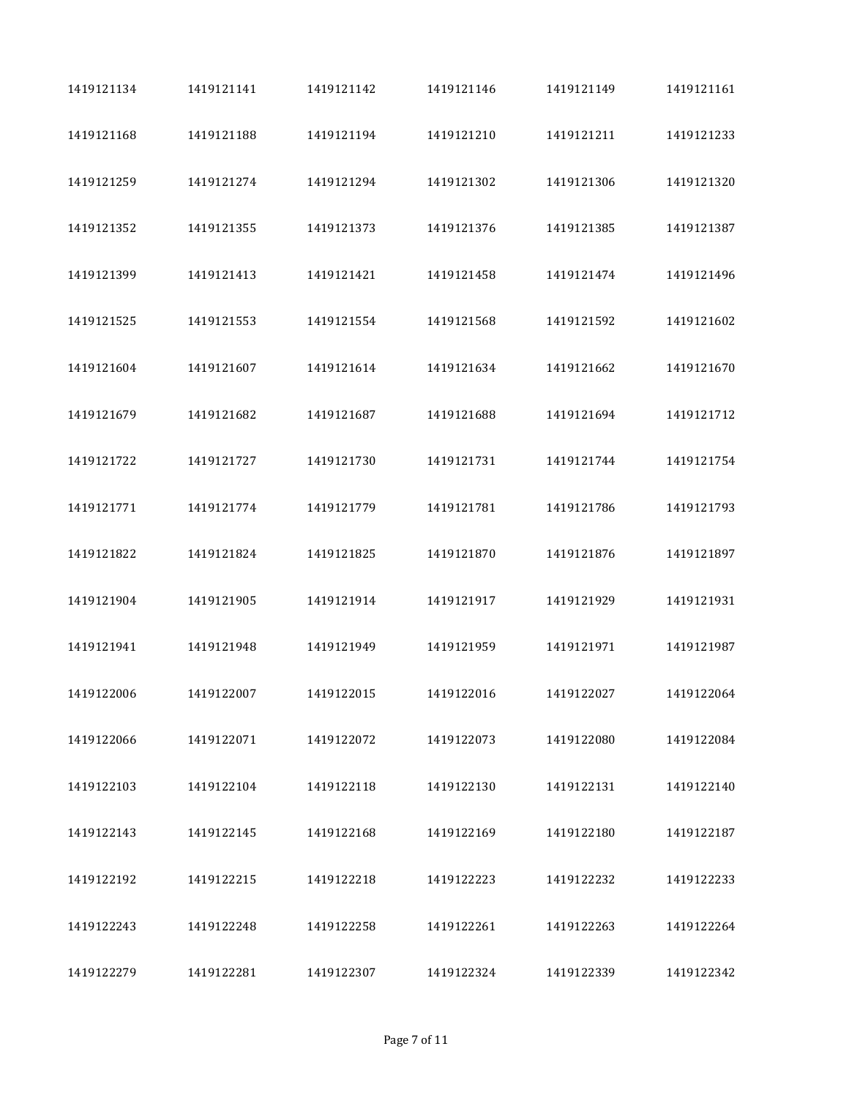| 1419121134 | 1419121141 | 1419121142 | 1419121146 | 1419121149 | 1419121161 |
|------------|------------|------------|------------|------------|------------|
| 1419121168 | 1419121188 | 1419121194 | 1419121210 | 1419121211 | 1419121233 |
| 1419121259 | 1419121274 | 1419121294 | 1419121302 | 1419121306 | 1419121320 |
| 1419121352 | 1419121355 | 1419121373 | 1419121376 | 1419121385 | 1419121387 |
| 1419121399 | 1419121413 | 1419121421 | 1419121458 | 1419121474 | 1419121496 |
| 1419121525 | 1419121553 | 1419121554 | 1419121568 | 1419121592 | 1419121602 |
| 1419121604 | 1419121607 | 1419121614 | 1419121634 | 1419121662 | 1419121670 |
| 1419121679 | 1419121682 | 1419121687 | 1419121688 | 1419121694 | 1419121712 |
| 1419121722 | 1419121727 | 1419121730 | 1419121731 | 1419121744 | 1419121754 |
| 1419121771 | 1419121774 | 1419121779 | 1419121781 | 1419121786 | 1419121793 |
| 1419121822 | 1419121824 | 1419121825 | 1419121870 | 1419121876 | 1419121897 |
| 1419121904 | 1419121905 | 1419121914 | 1419121917 | 1419121929 | 1419121931 |
| 1419121941 | 1419121948 | 1419121949 | 1419121959 | 1419121971 | 1419121987 |
| 1419122006 | 1419122007 | 1419122015 | 1419122016 | 1419122027 | 1419122064 |
| 1419122066 | 1419122071 | 1419122072 | 1419122073 | 1419122080 | 1419122084 |
| 1419122103 | 1419122104 | 1419122118 | 1419122130 | 1419122131 | 1419122140 |
| 1419122143 | 1419122145 | 1419122168 | 1419122169 | 1419122180 | 1419122187 |
| 1419122192 | 1419122215 | 1419122218 | 1419122223 | 1419122232 | 1419122233 |
| 1419122243 | 1419122248 | 1419122258 | 1419122261 | 1419122263 | 1419122264 |
| 1419122279 | 1419122281 | 1419122307 | 1419122324 | 1419122339 | 1419122342 |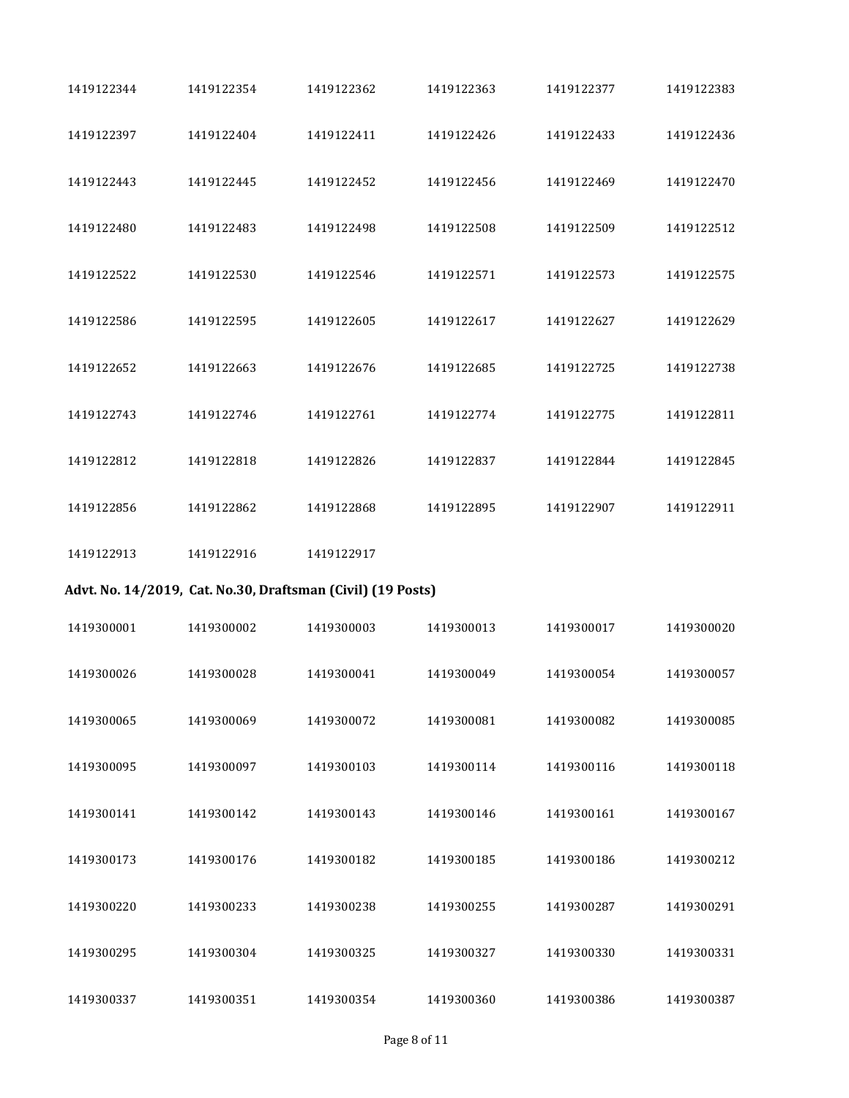| 1419122344 | 1419122354 | 1419122362                                                  | 1419122363 | 1419122377 | 1419122383 |
|------------|------------|-------------------------------------------------------------|------------|------------|------------|
| 1419122397 | 1419122404 | 1419122411                                                  | 1419122426 | 1419122433 | 1419122436 |
| 1419122443 | 1419122445 | 1419122452                                                  | 1419122456 | 1419122469 | 1419122470 |
| 1419122480 | 1419122483 | 1419122498                                                  | 1419122508 | 1419122509 | 1419122512 |
| 1419122522 | 1419122530 | 1419122546                                                  | 1419122571 | 1419122573 | 1419122575 |
| 1419122586 | 1419122595 | 1419122605                                                  | 1419122617 | 1419122627 | 1419122629 |
| 1419122652 | 1419122663 | 1419122676                                                  | 1419122685 | 1419122725 | 1419122738 |
| 1419122743 | 1419122746 | 1419122761                                                  | 1419122774 | 1419122775 | 1419122811 |
| 1419122812 | 1419122818 | 1419122826                                                  | 1419122837 | 1419122844 | 1419122845 |
| 1419122856 | 1419122862 | 1419122868                                                  | 1419122895 | 1419122907 | 1419122911 |
| 1419122913 | 1419122916 | 1419122917                                                  |            |            |            |
|            |            | Advt. No. 14/2019, Cat. No.30, Draftsman (Civil) (19 Posts) |            |            |            |
| 1419300001 | 1419300002 | 1419300003                                                  | 1419300013 | 1419300017 | 1419300020 |
| 1419300026 | 1419300028 | 1419300041                                                  | 1419300049 | 1419300054 | 1419300057 |
| 1419300065 | 1419300069 | 1419300072                                                  | 1419300081 | 1419300082 | 1419300085 |
| 1419300095 | 1419300097 | 1419300103                                                  | 1419300114 | 1419300116 | 1419300118 |
| 1419300141 | 1419300142 | 1419300143                                                  | 1419300146 | 1419300161 | 1419300167 |
| 1419300173 | 1419300176 | 1419300182                                                  | 1419300185 | 1419300186 | 1419300212 |
|            |            |                                                             |            |            |            |
| 1419300220 | 1419300233 | 1419300238                                                  | 1419300255 | 1419300287 | 1419300291 |
| 1419300295 | 1419300304 | 1419300325                                                  | 1419300327 | 1419300330 | 1419300331 |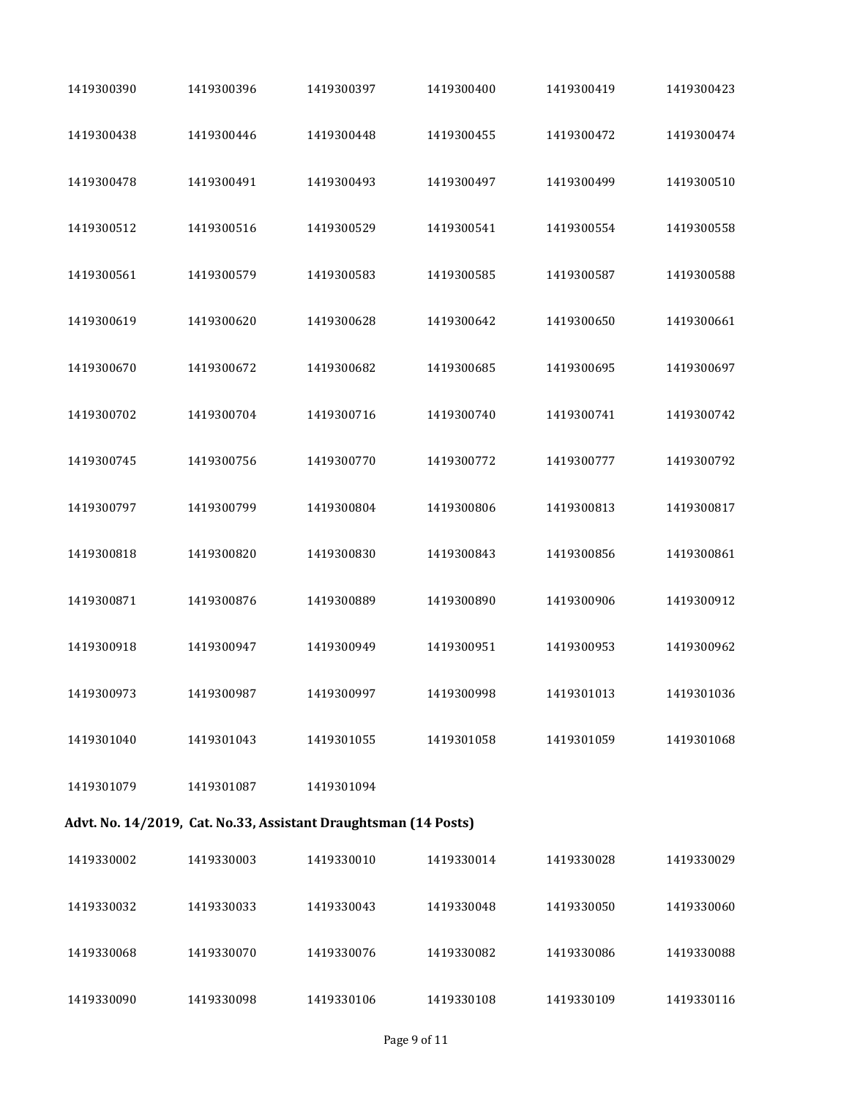| 1419300390 | 1419300396 | 1419300397                                                      | 1419300400 | 1419300419 | 1419300423 |  |
|------------|------------|-----------------------------------------------------------------|------------|------------|------------|--|
| 1419300438 | 1419300446 | 1419300448                                                      | 1419300455 | 1419300472 | 1419300474 |  |
| 1419300478 | 1419300491 | 1419300493                                                      | 1419300497 | 1419300499 | 1419300510 |  |
| 1419300512 | 1419300516 | 1419300529                                                      | 1419300541 | 1419300554 | 1419300558 |  |
| 1419300561 | 1419300579 | 1419300583                                                      | 1419300585 | 1419300587 | 1419300588 |  |
| 1419300619 | 1419300620 | 1419300628                                                      | 1419300642 | 1419300650 | 1419300661 |  |
| 1419300670 | 1419300672 | 1419300682                                                      | 1419300685 | 1419300695 | 1419300697 |  |
| 1419300702 | 1419300704 | 1419300716                                                      | 1419300740 | 1419300741 | 1419300742 |  |
| 1419300745 | 1419300756 | 1419300770                                                      | 1419300772 | 1419300777 | 1419300792 |  |
| 1419300797 | 1419300799 | 1419300804                                                      | 1419300806 | 1419300813 | 1419300817 |  |
| 1419300818 | 1419300820 | 1419300830                                                      | 1419300843 | 1419300856 | 1419300861 |  |
| 1419300871 | 1419300876 | 1419300889                                                      | 1419300890 | 1419300906 | 1419300912 |  |
| 1419300918 | 1419300947 | 1419300949                                                      | 1419300951 | 1419300953 | 1419300962 |  |
| 1419300973 | 1419300987 | 1419300997                                                      | 1419300998 | 1419301013 | 1419301036 |  |
| 1419301040 | 1419301043 | 1419301055                                                      | 1419301058 | 1419301059 | 1419301068 |  |
| 1419301079 | 1419301087 | 1419301094                                                      |            |            |            |  |
|            |            | Advt. No. 14/2019, Cat. No.33, Assistant Draughtsman (14 Posts) |            |            |            |  |
| 1419330002 | 1419330003 | 1419330010                                                      | 1419330014 | 1419330028 | 1419330029 |  |
| 1419330032 | 1419330033 | 1419330043                                                      | 1419330048 | 1419330050 | 1419330060 |  |
| 1419330068 | 1419330070 | 1419330076                                                      | 1419330082 | 1419330086 | 1419330088 |  |
| 1419330090 | 1419330098 | 1419330106                                                      | 1419330108 | 1419330109 | 1419330116 |  |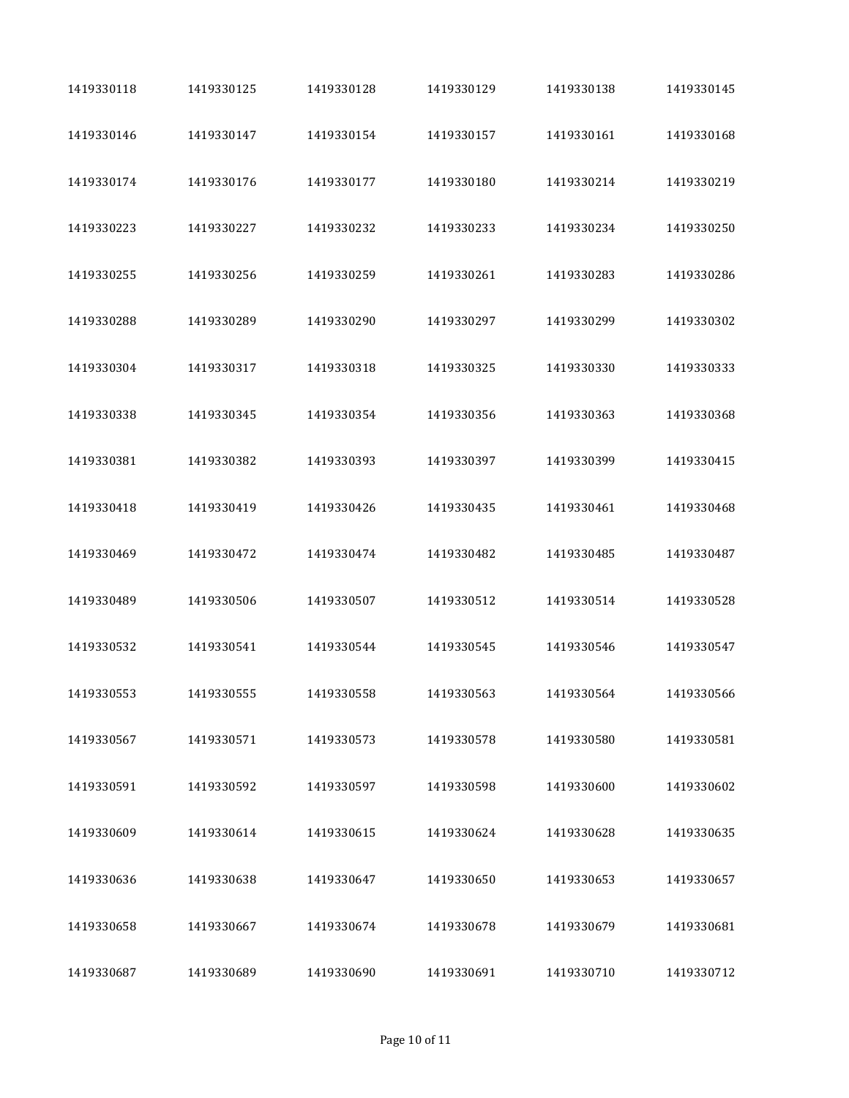| 1419330118 | 1419330125 | 1419330128 | 1419330129 | 1419330138 | 1419330145 |
|------------|------------|------------|------------|------------|------------|
| 1419330146 | 1419330147 | 1419330154 | 1419330157 | 1419330161 | 1419330168 |
| 1419330174 | 1419330176 | 1419330177 | 1419330180 | 1419330214 | 1419330219 |
| 1419330223 | 1419330227 | 1419330232 | 1419330233 | 1419330234 | 1419330250 |
| 1419330255 | 1419330256 | 1419330259 | 1419330261 | 1419330283 | 1419330286 |
| 1419330288 | 1419330289 | 1419330290 | 1419330297 | 1419330299 | 1419330302 |
| 1419330304 | 1419330317 | 1419330318 | 1419330325 | 1419330330 | 1419330333 |
| 1419330338 | 1419330345 | 1419330354 | 1419330356 | 1419330363 | 1419330368 |
| 1419330381 | 1419330382 | 1419330393 | 1419330397 | 1419330399 | 1419330415 |
| 1419330418 | 1419330419 | 1419330426 | 1419330435 | 1419330461 | 1419330468 |
| 1419330469 | 1419330472 | 1419330474 | 1419330482 | 1419330485 | 1419330487 |
| 1419330489 | 1419330506 | 1419330507 | 1419330512 | 1419330514 | 1419330528 |
| 1419330532 | 1419330541 | 1419330544 | 1419330545 | 1419330546 | 1419330547 |
| 1419330553 | 1419330555 | 1419330558 | 1419330563 | 1419330564 | 1419330566 |
| 1419330567 | 1419330571 | 1419330573 | 1419330578 | 1419330580 | 1419330581 |
| 1419330591 | 1419330592 | 1419330597 | 1419330598 | 1419330600 | 1419330602 |
| 1419330609 | 1419330614 | 1419330615 | 1419330624 | 1419330628 | 1419330635 |
| 1419330636 | 1419330638 | 1419330647 | 1419330650 | 1419330653 | 1419330657 |
| 1419330658 | 1419330667 | 1419330674 | 1419330678 | 1419330679 | 1419330681 |
| 1419330687 | 1419330689 | 1419330690 | 1419330691 | 1419330710 | 1419330712 |